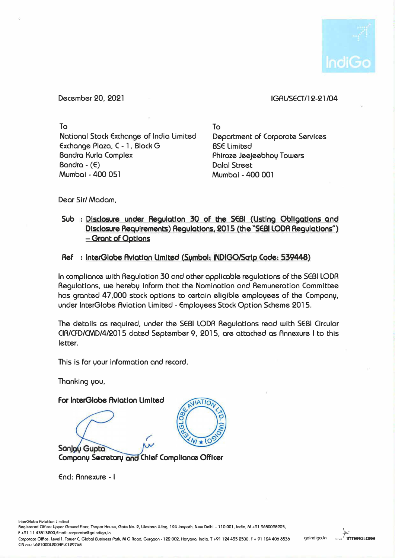

December 20. 2021

## IGAUSECT/12-21 /04

To National Stock Exchange of India limited Exchange Plaza, C - 1, Block G Bandra Kurla Complex Bandra - (E) Mumbai - 400 051

To Department of Corporate Services BSE limited Phiroze Jeejeebhoy Towers Dalal Street Mumbai - 400 001

Dear Sir/ Madam.

Sub : Disclosure under Regulation 30 of the SEBI (Listing Obligations and **Disclosure R�ulrements) Regulations 2015 the "SEBI LODR Regulations") - Grant of Options**

## Ref : InterGlobe Aviation Limited (Sumbol: INDIGO/Saip Code: 539448)

In compliance with Regulation 30 and other applicable regulations of the SEBI LODA Regulations. we hereby inform that the Nomination and Remuneration Committee has granted 47,000 stock options to certain eligible employees of the Company, under lnterGlobe Aviation limited - Employees Stock Option Scheme 2015.

The details as required, under the SEBI LODA Regulations read with SEBI Circular CIR/CFD/CMD/4/2015 dated September 9, 2015, are attached as Annexure I to this letter.

This is for your information and record.

Thanking you.

**For lnterGlobe Aviation Limited** 

Sanjau Gupta



**Company Secretary and Chief Compliance Officer** 

Encl: Annexure - I

Registered Office: Upper Ground Floor, Thopor House, Gote No. 2, Western Wing, 124 Janpoth, New Delhi - 110 001, India, M +91 9650098905, F +91 11 43513200,Emall: carporate@golndlga,in

Corporate Office: Levell, Tower C, Global Business Park, MG Road, Gurgaon - 122 002, Haryana, India. T +91 124 435 2500. F + 91 124 406 8536 CIN no.: L62100DL2004PLC129768